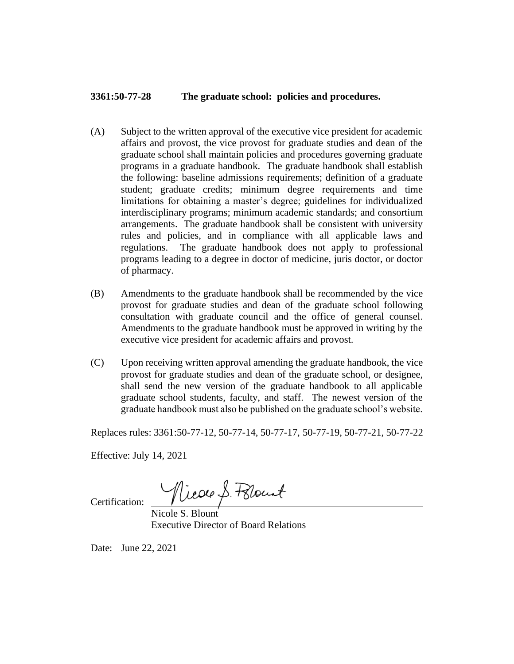## **3361:50-77-28 The graduate school: policies and procedures.**

- (A) Subject to the written approval of the executive vice president for academic affairs and provost, the vice provost for graduate studies and dean of the graduate school shall maintain policies and procedures governing graduate programs in a graduate handbook. The graduate handbook shall establish the following: baseline admissions requirements; definition of a graduate student; graduate credits; minimum degree requirements and time limitations for obtaining a master's degree; guidelines for individualized interdisciplinary programs; minimum academic standards; and consortium arrangements. The graduate handbook shall be consistent with university rules and policies, and in compliance with all applicable laws and regulations. The graduate handbook does not apply to professional programs leading to a degree in doctor of medicine, juris doctor, or doctor of pharmacy.
- (B) Amendments to the graduate handbook shall be recommended by the vice provost for graduate studies and dean of the graduate school following consultation with graduate council and the office of general counsel. Amendments to the graduate handbook must be approved in writing by the executive vice president for academic affairs and provost.
- (C) Upon receiving written approval amending the graduate handbook, the vice provost for graduate studies and dean of the graduate school, or designee, shall send the new version of the graduate handbook to all applicable graduate school students, faculty, and staff. The newest version of the graduate handbook must also be published on the graduate school's website.

Replaces rules: 3361:50-77-12, 50-77-14, 50-77-17, 50-77-19, 50-77-21, 50-77-22

Effective: July 14, 2021

Nicole S. Polount

Certification:

Nicole S. Blount Executive Director of Board Relations

Date: June 22, 2021